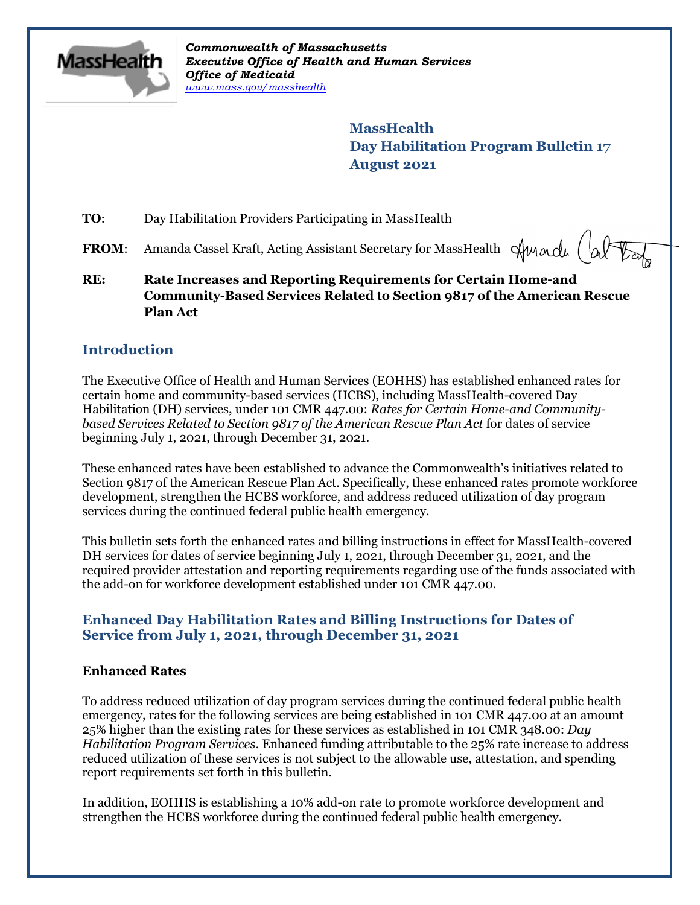

*Commonwealth of Massachusetts Executive Office of Health and Human Services Office of Medicaid [www.mass.gov/masshealth](http://www.mass.gov/masshealth)*

> **MassHealth Day Habilitation Program Bulletin 17 August 2021**

**TO**: Day Habilitation Providers Participating in MassHealth

**FROM:** Amanda Cassel Kraft, Acting Assistant Secretary for MassHealth Sunnall (al

**RE: Rate Increases and Reporting Requirements for Certain Home-and Community-Based Services Related to Section 9817 of the American Rescue Plan Act**

# **Introduction**

The Executive Office of Health and Human Services (EOHHS) has established enhanced rates for certain home and community-based services (HCBS), including MassHealth-covered Day Habilitation (DH) services, under 101 CMR 447.00: *Rates for Certain Home-and Communitybased Services Related to Section 9817 of the American Rescue Plan Act* for dates of service beginning July 1, 2021, through December 31, 2021.

These enhanced rates have been established to advance the Commonwealth's initiatives related to Section 9817 of the American Rescue Plan Act. Specifically, these enhanced rates promote workforce development, strengthen the HCBS workforce, and address reduced utilization of day program services during the continued federal public health emergency.

This bulletin sets forth the enhanced rates and billing instructions in effect for MassHealth-covered DH services for dates of service beginning July 1, 2021, through December 31, 2021, and the required provider attestation and reporting requirements regarding use of the funds associated with the add-on for workforce development established under 101 CMR 447.00.

### **Enhanced Day Habilitation Rates and Billing Instructions for Dates of Service from July 1, 2021, through December 31, 2021**

#### **Enhanced Rates**

To address reduced utilization of day program services during the continued federal public health emergency, rates for the following services are being established in 101 CMR 447.00 at an amount 25% higher than the existing rates for these services as established in 101 CMR 348.00: *Day Habilitation Program Services*. Enhanced funding attributable to the 25% rate increase to address reduced utilization of these services is not subject to the allowable use, attestation, and spending report requirements set forth in this bulletin.

In addition, EOHHS is establishing a 10% add-on rate to promote workforce development and strengthen the HCBS workforce during the continued federal public health emergency.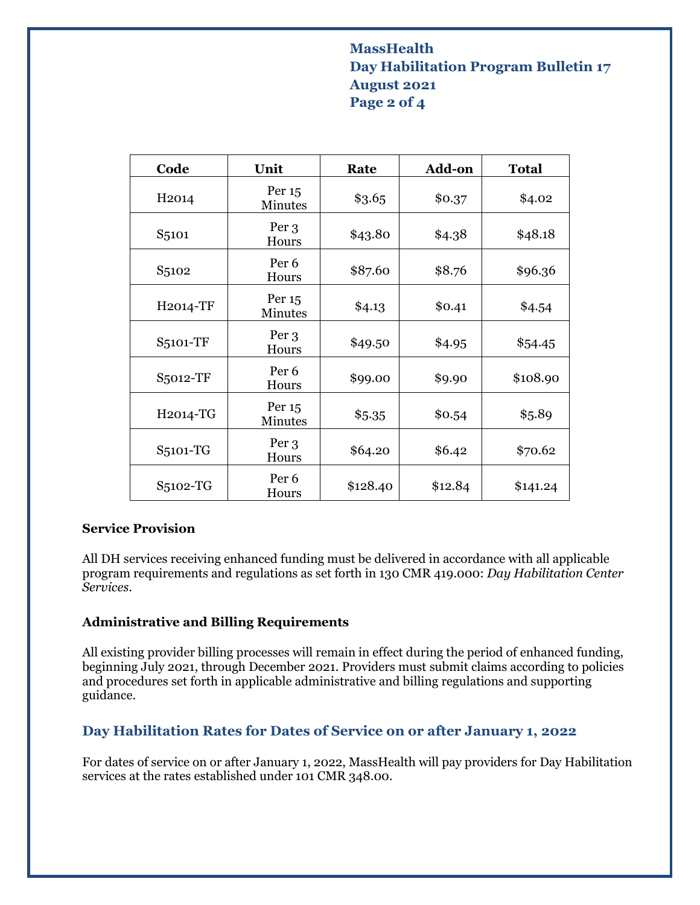# **MassHealth Day Habilitation Program Bulletin 17 August 2021 Page 2 of 4**

| Code               | Unit                      | Rate     | Add-on  | <b>Total</b> |
|--------------------|---------------------------|----------|---------|--------------|
| H <sub>2014</sub>  | Per 15<br><b>Minutes</b>  | \$3.65   | \$0.37  | \$4.02       |
| S <sub>5</sub> 101 | Per 3<br>Hours            | \$43.80  | \$4.38  | \$48.18      |
| S <sub>5102</sub>  | Per <sub>6</sub><br>Hours | \$87.60  | \$8.76  | \$96.36      |
| H2014-TF           | Per 15<br><b>Minutes</b>  | \$4.13   | \$0.41  | \$4.54       |
| S5101-TF           | Per 3<br>Hours            | \$49.50  | \$4.95  | \$54.45      |
| S5012-TF           | Per <sub>6</sub><br>Hours | \$99.00  | \$9.90  | \$108.90     |
| H2014-TG           | Per 15<br><b>Minutes</b>  | \$5.35   | \$0.54  | \$5.89       |
| S5101-TG           | Per 3<br>Hours            | \$64.20  | \$6.42  | \$70.62      |
| S5102-TG           | Per <sub>6</sub><br>Hours | \$128.40 | \$12.84 | \$141.24     |

#### **Service Provision**

All DH services receiving enhanced funding must be delivered in accordance with all applicable program requirements and regulations as set forth in 130 CMR 419.000: *Day Habilitation Center Services*.

#### **Administrative and Billing Requirements**

All existing provider billing processes will remain in effect during the period of enhanced funding, beginning July 2021, through December 2021. Providers must submit claims according to policies and procedures set forth in applicable administrative and billing regulations and supporting guidance.

# **Day Habilitation Rates for Dates of Service on or after January 1, 2022**

For dates of service on or after January 1, 2022, MassHealth will pay providers for Day Habilitation services at the rates established under 101 CMR 348.00.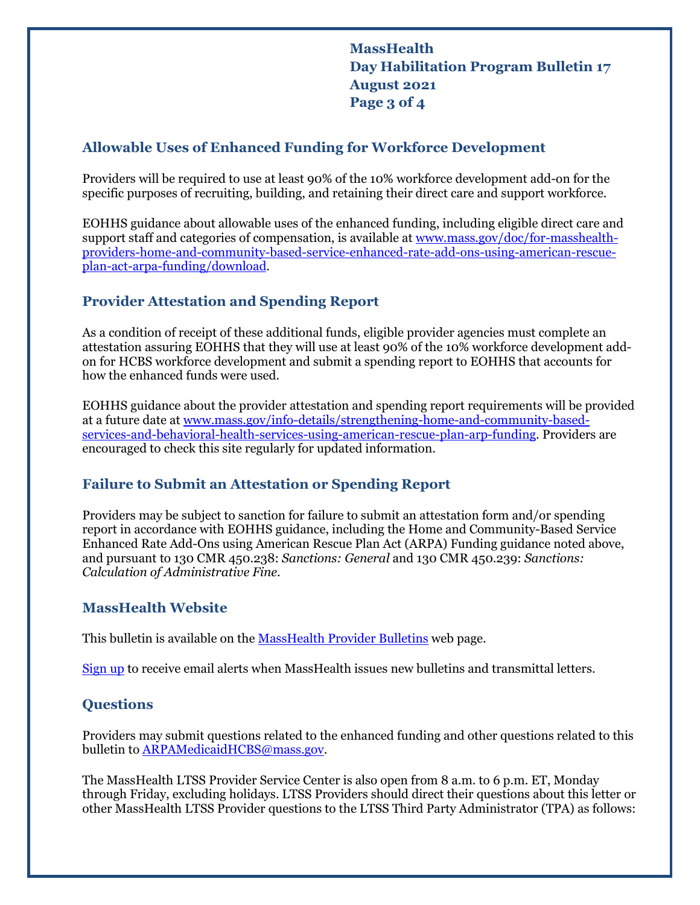**MassHealth Day Habilitation Program Bulletin 17 August 2021 Page 3 of 4**

### **Allowable Uses of Enhanced Funding for Workforce Development**

Providers will be required to use at least 90% of the 10% workforce development add-on for the specific purposes of recruiting, building, and retaining their direct care and support workforce.

EOHHS guidance about allowable uses of the enhanced funding, including eligible direct care and support staff and categories of compensation, is available a[t www.mass.gov/doc/for-masshealth](http://www.mass.gov/doc/for-masshealth-providers-home-and-community-based-service-enhanced-rate-add-ons-using-american-rescue-plan-act-arpa-funding/download)[providers-home-and-community-based-service-enhanced-rate-add-ons-using-american-rescue](http://www.mass.gov/doc/for-masshealth-providers-home-and-community-based-service-enhanced-rate-add-ons-using-american-rescue-plan-act-arpa-funding/download)[plan-act-arpa-funding/download.](http://www.mass.gov/doc/for-masshealth-providers-home-and-community-based-service-enhanced-rate-add-ons-using-american-rescue-plan-act-arpa-funding/download)

### **Provider Attestation and Spending Report**

As a condition of receipt of these additional funds, eligible provider agencies must complete an attestation assuring EOHHS that they will use at least 90% of the 10% workforce development addon for HCBS workforce development and submit a spending report to EOHHS that accounts for how the enhanced funds were used.

EOHHS guidance about the provider attestation and spending report requirements will be provided at a future date at [www.mass.gov/info-details/strengthening-home-and-community-based](https://www.mass.gov/info-details/strengthening-home-and-community-based-services-and-behavioral-health-services-using-american-rescue-plan-arp-funding)[services-and-behavioral-health-services-using-american-rescue-plan-arp-funding.](https://www.mass.gov/info-details/strengthening-home-and-community-based-services-and-behavioral-health-services-using-american-rescue-plan-arp-funding) Providers are encouraged to check this site regularly for updated information.

### **Failure to Submit an Attestation or Spending Report**

Providers may be subject to sanction for failure to submit an attestation form and/or spending report in accordance with EOHHS guidance, including the Home and Community-Based Service Enhanced Rate Add-Ons using American Rescue Plan Act (ARPA) Funding guidance noted above, and pursuant to 130 CMR 450.238: *Sanctions: General* and 130 CMR 450.239: *Sanctions: Calculation of Administrative Fine*.

### **MassHealth Website**

This bulletin is available on th[e MassHealth Provider Bulletins](http://www.mass.gov/masshealth-provider-bulletins) web page.

[Sign up](https://www.mass.gov/forms/email-notifications-for-provider-bulletins-and-transmittal-letters) to receive email alerts when MassHealth issues new bulletins and transmittal letters.

### **Questions**

Providers may submit questions related to the enhanced funding and other questions related to this bulletin t[o ARPAMedicaidHCBS@mass.gov.](mailto:ARPAMedicaidHCBS@mass.gov)

The MassHealth LTSS Provider Service Center is also open from 8 a.m. to 6 p.m. ET, Monday through Friday, excluding holidays. LTSS Providers should direct their questions about this letter or other MassHealth LTSS Provider questions to the LTSS Third Party Administrator (TPA) as follows: